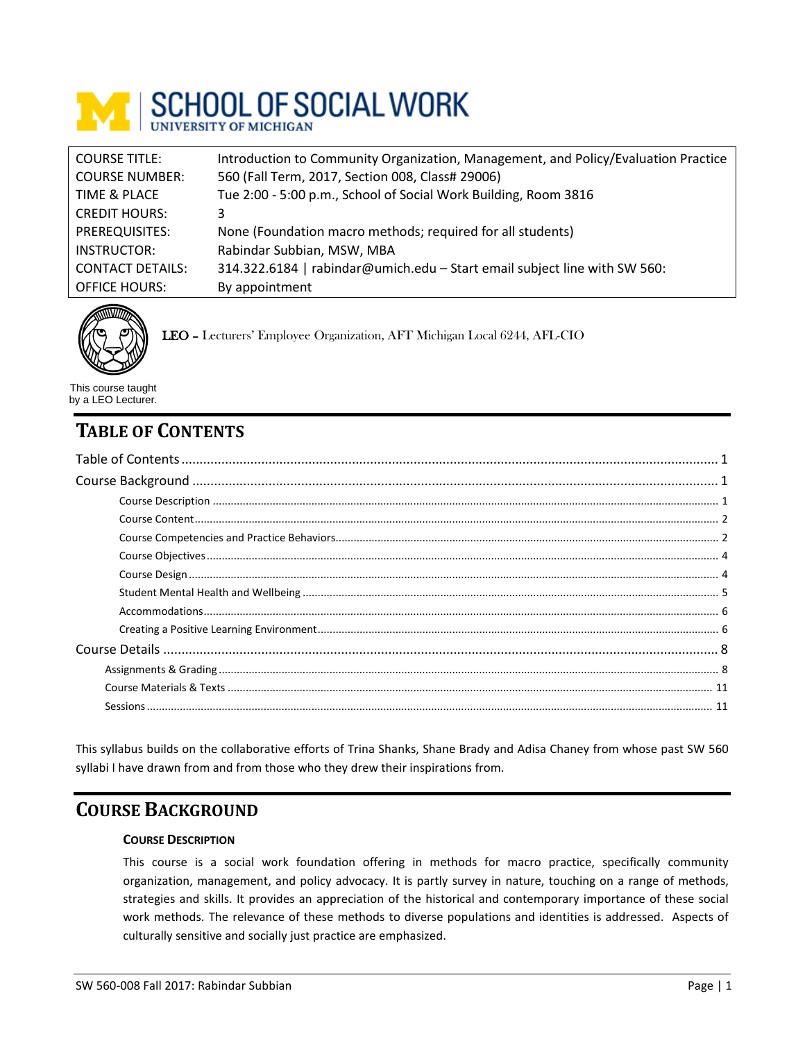

| <b>COURSE TITLE:</b>    | Introduction to Community Organization, Management, and Policy/Evaluation Practice |
|-------------------------|------------------------------------------------------------------------------------|
| <b>COURSE NUMBER:</b>   | 560 (Fall Term, 2017, Section 008, Class# 29006)                                   |
| TIME & PLACE            | Tue 2:00 - 5:00 p.m., School of Social Work Building, Room 3816                    |
| <b>CREDIT HOURS:</b>    | 3                                                                                  |
| PREREQUISITES:          | None (Foundation macro methods; required for all students)                         |
| INSTRUCTOR:             | Rabindar Subbian, MSW, MBA                                                         |
| <b>CONTACT DETAILS:</b> | 314.322.6184   rabindar@umich.edu - Start email subject line with SW 560:          |
| <b>OFFICE HOURS:</b>    | By appointment                                                                     |



LEO – Lecturers' Employee Organization, AFT Michigan Local 6244, AFL-CIO

This course taught by a LEO Lecturer.

# <span id="page-0-0"></span>**TABLE OF CONTENTS**

This syllabus builds on the collaborative efforts of Trina Shanks, Shane Brady and Adisa Chaney from whose past SW 560 syllabi I have drawn from and from those who they drew their inspirations from.

# <span id="page-0-2"></span><span id="page-0-1"></span>**COURSE BACKGROUND**

# **COURSE DESCRIPTION**

This course is a social work foundation offering in methods for macro practice, specifically community organization, management, and policy advocacy. It is partly survey in nature, touching on a range of methods, strategies and skills. It provides an appreciation of the historical and contemporary importance of these social work methods. The relevance of these methods to diverse populations and identities is addressed. Aspects of culturally sensitive and socially just practice are emphasized.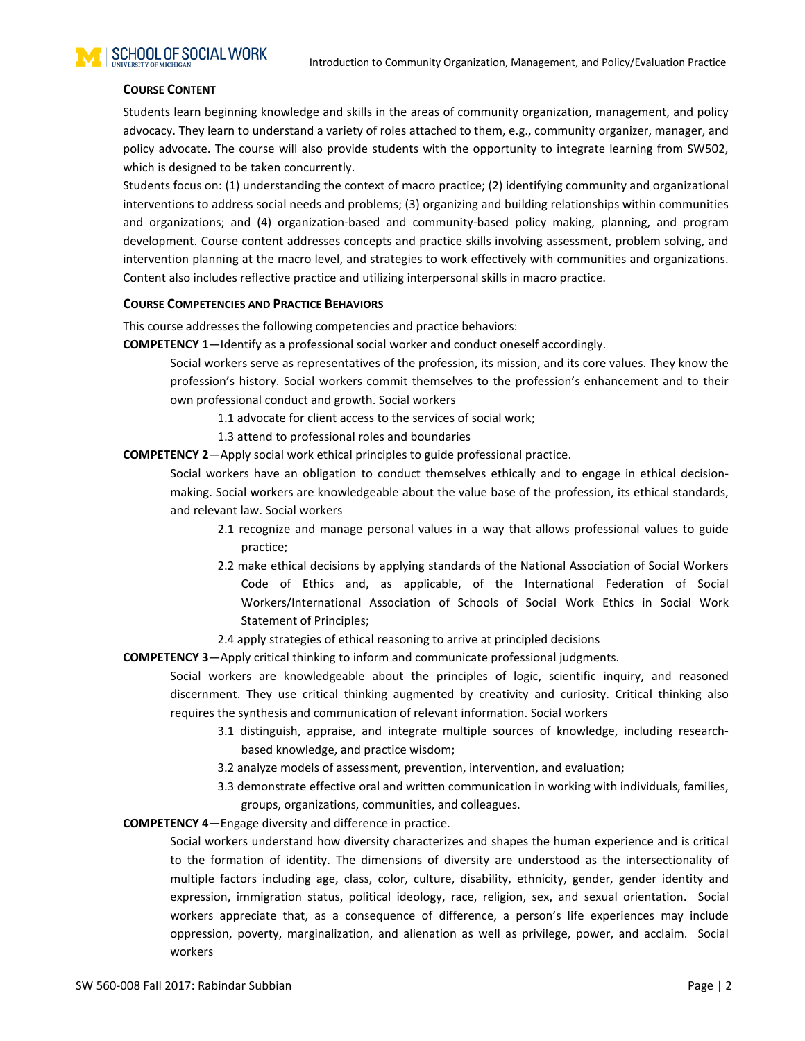### <span id="page-1-0"></span>**COURSE CONTENT**

Students learn beginning knowledge and skills in the areas of community organization, management, and policy advocacy. They learn to understand a variety of roles attached to them, e.g., community organizer, manager, and policy advocate. The course will also provide students with the opportunity to integrate learning from SW502, which is designed to be taken concurrently.

Students focus on: (1) understanding the context of macro practice; (2) identifying community and organizational interventions to address social needs and problems; (3) organizing and building relationships within communities and organizations; and (4) organization-based and community-based policy making, planning, and program development. Course content addresses concepts and practice skills involving assessment, problem solving, and intervention planning at the macro level, and strategies to work effectively with communities and organizations. Content also includes reflective practice and utilizing interpersonal skills in macro practice.

#### <span id="page-1-1"></span>**COURSE COMPETENCIES AND PRACTICE BEHAVIORS**

This course addresses the following competencies and practice behaviors:

**COMPETENCY 1**—Identify as a professional social worker and conduct oneself accordingly.

Social workers serve as representatives of the profession, its mission, and its core values. They know the profession's history. Social workers commit themselves to the profession's enhancement and to their own professional conduct and growth. Social workers

- 1.1 advocate for client access to the services of social work;
- 1.3 attend to professional roles and boundaries
- **COMPETENCY 2**—Apply social work ethical principles to guide professional practice.

Social workers have an obligation to conduct themselves ethically and to engage in ethical decisionmaking. Social workers are knowledgeable about the value base of the profession, its ethical standards, and relevant law. Social workers

- 2.1 recognize and manage personal values in a way that allows professional values to guide practice;
- 2.2 make ethical decisions by applying standards of the National Association of Social Workers Code of Ethics and, as applicable, of the International Federation of Social Workers/International Association of Schools of Social Work Ethics in Social Work Statement of Principles;
- 2.4 apply strategies of ethical reasoning to arrive at principled decisions
- **COMPETENCY 3**—Apply critical thinking to inform and communicate professional judgments.

Social workers are knowledgeable about the principles of logic, scientific inquiry, and reasoned discernment. They use critical thinking augmented by creativity and curiosity. Critical thinking also requires the synthesis and communication of relevant information. Social workers

- 3.1 distinguish, appraise, and integrate multiple sources of knowledge, including researchbased knowledge, and practice wisdom;
- 3.2 analyze models of assessment, prevention, intervention, and evaluation;
- 3.3 demonstrate effective oral and written communication in working with individuals, families, groups, organizations, communities, and colleagues.

**COMPETENCY 4**—Engage diversity and difference in practice.

Social workers understand how diversity characterizes and shapes the human experience and is critical to the formation of identity. The dimensions of diversity are understood as the intersectionality of multiple factors including age, class, color, culture, disability, ethnicity, gender, gender identity and expression, immigration status, political ideology, race, religion, sex, and sexual orientation. Social workers appreciate that, as a consequence of difference, a person's life experiences may include oppression, poverty, marginalization, and alienation as well as privilege, power, and acclaim. Social workers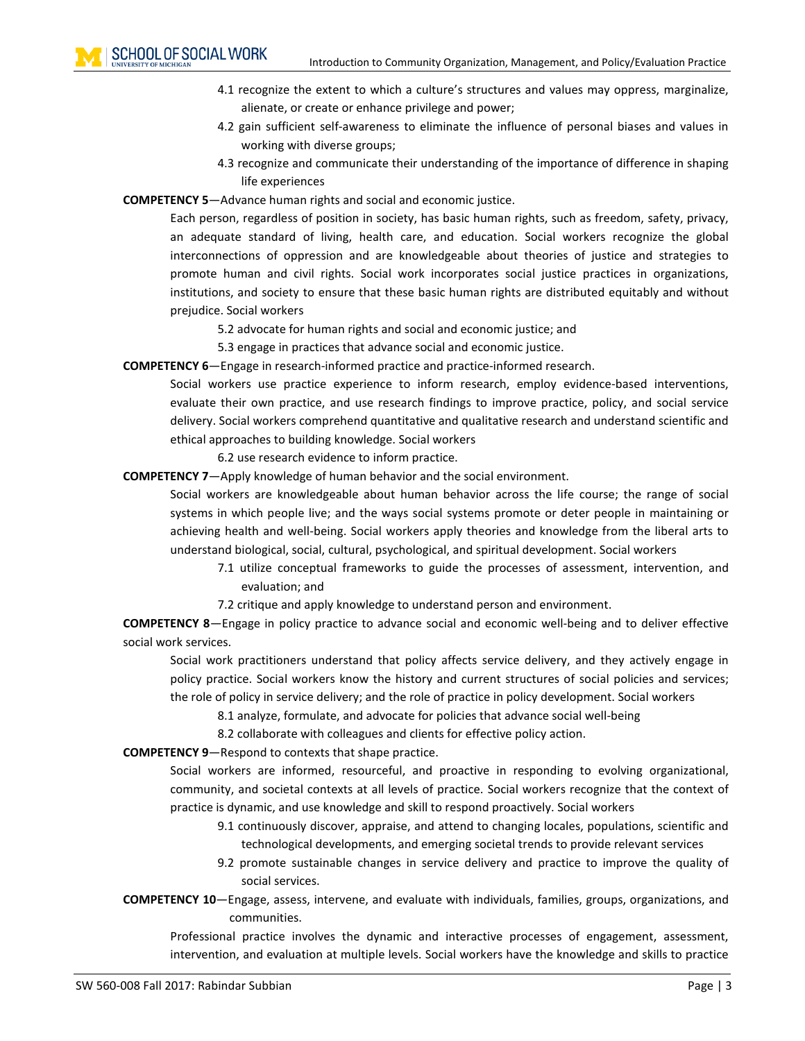- 4.1 recognize the extent to which a culture's structures and values may oppress, marginalize, alienate, or create or enhance privilege and power;
- 4.2 gain sufficient self-awareness to eliminate the influence of personal biases and values in working with diverse groups;
- 4.3 recognize and communicate their understanding of the importance of difference in shaping life experiences

**COMPETENCY 5**—Advance human rights and social and economic justice.

Each person, regardless of position in society, has basic human rights, such as freedom, safety, privacy, an adequate standard of living, health care, and education. Social workers recognize the global interconnections of oppression and are knowledgeable about theories of justice and strategies to promote human and civil rights. Social work incorporates social justice practices in organizations, institutions, and society to ensure that these basic human rights are distributed equitably and without prejudice. Social workers

5.2 advocate for human rights and social and economic justice; and

5.3 engage in practices that advance social and economic justice.

**COMPETENCY 6**—Engage in research-informed practice and practice-informed research.

Social workers use practice experience to inform research, employ evidence-based interventions, evaluate their own practice, and use research findings to improve practice, policy, and social service delivery. Social workers comprehend quantitative and qualitative research and understand scientific and ethical approaches to building knowledge. Social workers

6.2 use research evidence to inform practice.

**COMPETENCY 7**—Apply knowledge of human behavior and the social environment.

Social workers are knowledgeable about human behavior across the life course; the range of social systems in which people live; and the ways social systems promote or deter people in maintaining or achieving health and well-being. Social workers apply theories and knowledge from the liberal arts to understand biological, social, cultural, psychological, and spiritual development. Social workers

7.1 utilize conceptual frameworks to guide the processes of assessment, intervention, and evaluation; and

7.2 critique and apply knowledge to understand person and environment.

**COMPETENCY 8**—Engage in policy practice to advance social and economic well-being and to deliver effective social work services.

Social work practitioners understand that policy affects service delivery, and they actively engage in policy practice. Social workers know the history and current structures of social policies and services; the role of policy in service delivery; and the role of practice in policy development. Social workers

8.1 analyze, formulate, and advocate for policies that advance social well-being

8.2 collaborate with colleagues and clients for effective policy action.

**COMPETENCY 9**—Respond to contexts that shape practice.

Social workers are informed, resourceful, and proactive in responding to evolving organizational, community, and societal contexts at all levels of practice. Social workers recognize that the context of practice is dynamic, and use knowledge and skill to respond proactively. Social workers

- 9.1 continuously discover, appraise, and attend to changing locales, populations, scientific and technological developments, and emerging societal trends to provide relevant services
- 9.2 promote sustainable changes in service delivery and practice to improve the quality of social services.
- **COMPETENCY 10**—Engage, assess, intervene, and evaluate with individuals, families, groups, organizations, and communities.

Professional practice involves the dynamic and interactive processes of engagement, assessment, intervention, and evaluation at multiple levels. Social workers have the knowledge and skills to practice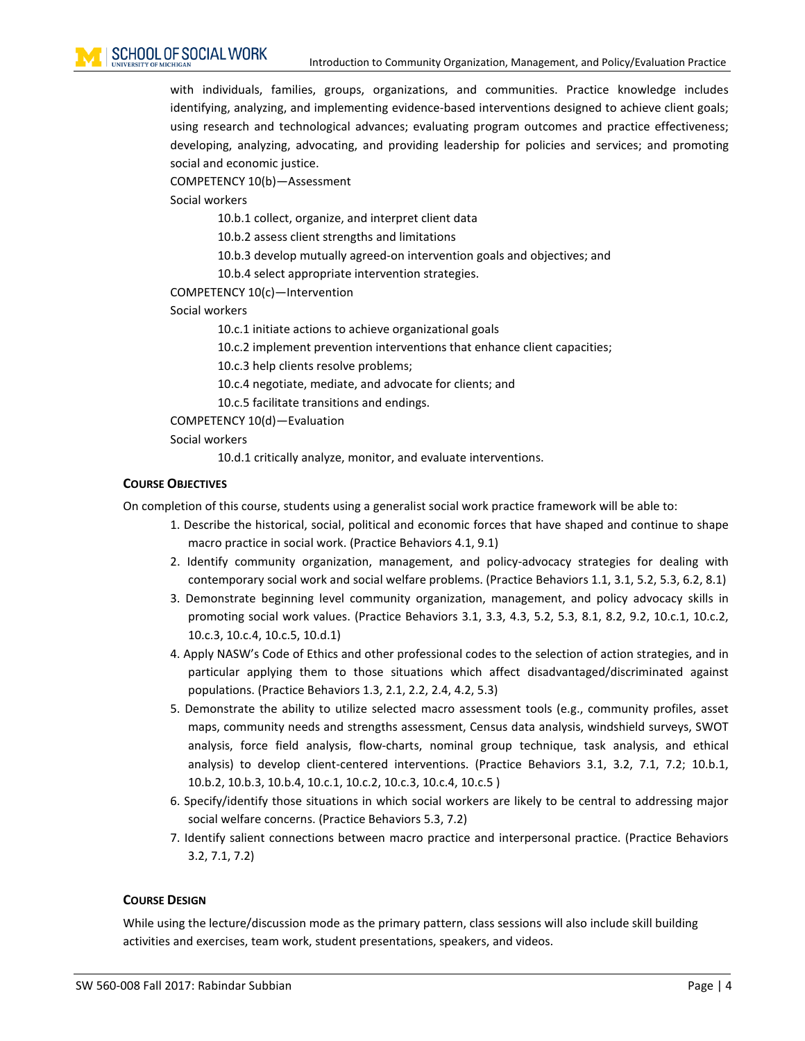with individuals, families, groups, organizations, and communities. Practice knowledge includes identifying, analyzing, and implementing evidence-based interventions designed to achieve client goals; using research and technological advances; evaluating program outcomes and practice effectiveness; developing, analyzing, advocating, and providing leadership for policies and services; and promoting social and economic justice.

COMPETENCY 10(b)—Assessment

Social workers

10.b.1 collect, organize, and interpret client data

10.b.2 assess client strengths and limitations

10.b.3 develop mutually agreed-on intervention goals and objectives; and

10.b.4 select appropriate intervention strategies.

### COMPETENCY 10(c)—Intervention

Social workers

10.c.1 initiate actions to achieve organizational goals

10.c.2 implement prevention interventions that enhance client capacities;

10.c.3 help clients resolve problems;

10.c.4 negotiate, mediate, and advocate for clients; and

10.c.5 facilitate transitions and endings.

COMPETENCY 10(d)—Evaluation

Social workers

10.d.1 critically analyze, monitor, and evaluate interventions.

### <span id="page-3-0"></span>**COURSE OBJECTIVES**

On completion of this course, students using a generalist social work practice framework will be able to:

- 1. Describe the historical, social, political and economic forces that have shaped and continue to shape macro practice in social work. (Practice Behaviors 4.1, 9.1)
- 2. Identify community organization, management, and policy-advocacy strategies for dealing with contemporary social work and social welfare problems. (Practice Behaviors 1.1, 3.1, 5.2, 5.3, 6.2, 8.1)
- 3. Demonstrate beginning level community organization, management, and policy advocacy skills in promoting social work values. (Practice Behaviors 3.1, 3.3, 4.3, 5.2, 5.3, 8.1, 8.2, 9.2, 10.c.1, 10.c.2, 10.c.3, 10.c.4, 10.c.5, 10.d.1)
- 4. Apply NASW's Code of Ethics and other professional codes to the selection of action strategies, and in particular applying them to those situations which affect disadvantaged/discriminated against populations. (Practice Behaviors 1.3, 2.1, 2.2, 2.4, 4.2, 5.3)
- 5. Demonstrate the ability to utilize selected macro assessment tools (e.g., community profiles, asset maps, community needs and strengths assessment, Census data analysis, windshield surveys, SWOT analysis, force field analysis, flow-charts, nominal group technique, task analysis, and ethical analysis) to develop client-centered interventions. (Practice Behaviors 3.1, 3.2, 7.1, 7.2; 10.b.1, 10.b.2, 10.b.3, 10.b.4, 10.c.1, 10.c.2, 10.c.3, 10.c.4, 10.c.5 )
- 6. Specify/identify those situations in which social workers are likely to be central to addressing major social welfare concerns. (Practice Behaviors 5.3, 7.2)
- 7. Identify salient connections between macro practice and interpersonal practice. (Practice Behaviors 3.2, 7.1, 7.2)

### <span id="page-3-1"></span>**COURSE DESIGN**

While using the lecture/discussion mode as the primary pattern, class sessions will also include skill building activities and exercises, team work, student presentations, speakers, and videos.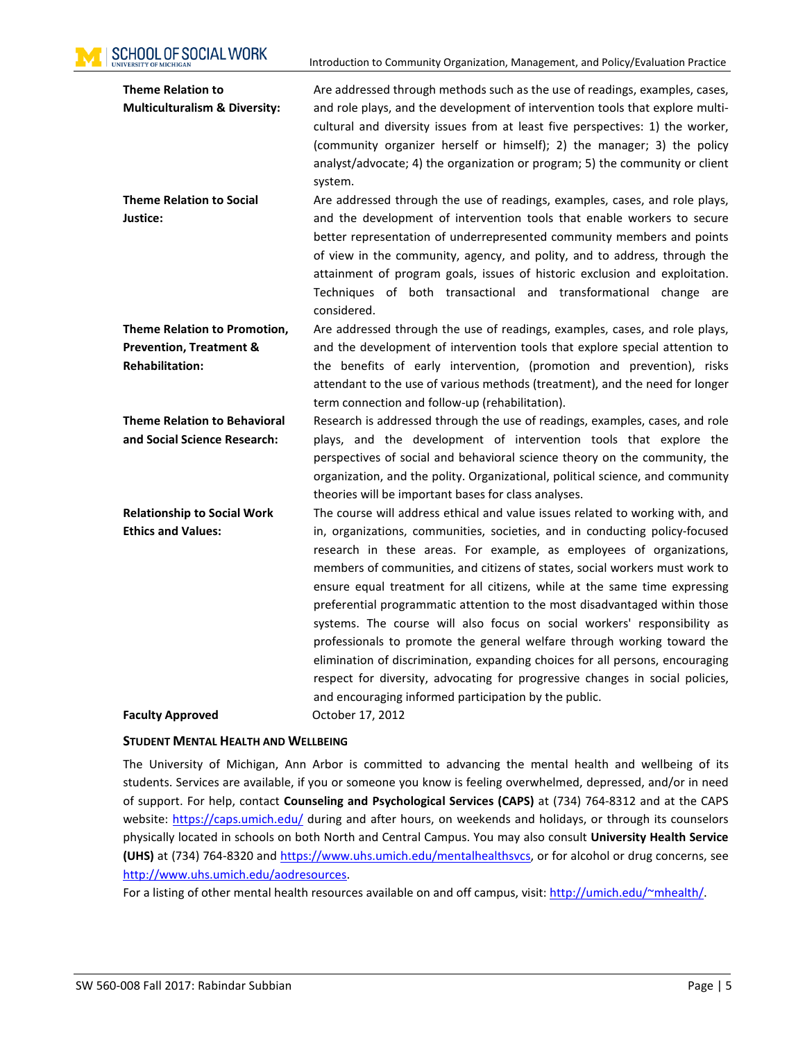**SCHOOL OF SOCIAL WORK** 

Introduction to Community Organization, Management, and Policy/Evaluation Practice

| <b>Theme Relation to</b>                 | Are addressed through methods such as the use of readings, examples, cases,    |
|------------------------------------------|--------------------------------------------------------------------------------|
| <b>Multiculturalism &amp; Diversity:</b> | and role plays, and the development of intervention tools that explore multi-  |
|                                          | cultural and diversity issues from at least five perspectives: 1) the worker,  |
|                                          | (community organizer herself or himself); 2) the manager; 3) the policy        |
|                                          | analyst/advocate; 4) the organization or program; 5) the community or client   |
|                                          | system.                                                                        |
| <b>Theme Relation to Social</b>          | Are addressed through the use of readings, examples, cases, and role plays,    |
| Justice:                                 | and the development of intervention tools that enable workers to secure        |
|                                          | better representation of underrepresented community members and points         |
|                                          | of view in the community, agency, and polity, and to address, through the      |
|                                          | attainment of program goals, issues of historic exclusion and exploitation.    |
|                                          | Techniques of both transactional and transformational change are               |
|                                          | considered.                                                                    |
| Theme Relation to Promotion,             | Are addressed through the use of readings, examples, cases, and role plays,    |
| <b>Prevention, Treatment &amp;</b>       | and the development of intervention tools that explore special attention to    |
| <b>Rehabilitation:</b>                   | the benefits of early intervention, (promotion and prevention), risks          |
|                                          | attendant to the use of various methods (treatment), and the need for longer   |
|                                          | term connection and follow-up (rehabilitation).                                |
| <b>Theme Relation to Behavioral</b>      | Research is addressed through the use of readings, examples, cases, and role   |
| and Social Science Research:             | plays, and the development of intervention tools that explore the              |
|                                          | perspectives of social and behavioral science theory on the community, the     |
|                                          | organization, and the polity. Organizational, political science, and community |
|                                          | theories will be important bases for class analyses.                           |
| <b>Relationship to Social Work</b>       | The course will address ethical and value issues related to working with, and  |
| <b>Ethics and Values:</b>                | in, organizations, communities, societies, and in conducting policy-focused    |
|                                          | research in these areas. For example, as employees of organizations,           |
|                                          | members of communities, and citizens of states, social workers must work to    |
|                                          | ensure equal treatment for all citizens, while at the same time expressing     |
|                                          | preferential programmatic attention to the most disadvantaged within those     |
|                                          | systems. The course will also focus on social workers' responsibility as       |
|                                          | professionals to promote the general welfare through working toward the        |
|                                          | elimination of discrimination, expanding choices for all persons, encouraging  |
|                                          | respect for diversity, advocating for progressive changes in social policies,  |
|                                          | and encouraging informed participation by the public.                          |
| <b>Faculty Approved</b>                  | October 17, 2012                                                               |

### <span id="page-4-0"></span>**STUDENT MENTAL HEALTH AND WELLBEING**

The University of Michigan, Ann Arbor is committed to advancing the mental health and wellbeing of its students. Services are available, if you or someone you know is feeling overwhelmed, depressed, and/or in need of support. For help, contact **Counseling and Psychological Services (CAPS)** at (734) 764-8312 and at the CAPS website:<https://caps.umich.edu/> during and after hours, on weekends and holidays, or through its counselors physically located in schools on both North and Central Campus. You may also consult **University Health Service (UHS)** at (734) 764-8320 and [https://www.uhs.umich.edu/mentalhealthsvcs,](https://www.uhs.umich.edu/mentalhealthsvcs) or for alcohol or drug concerns, see [http://www.uhs.umich.edu/aodresources.](http://www.uhs.umich.edu/aodresources)

For a listing of other mental health resources available on and off campus, visit: [http://umich.edu/~mhealth/.](http://umich.edu/%7Emhealth/)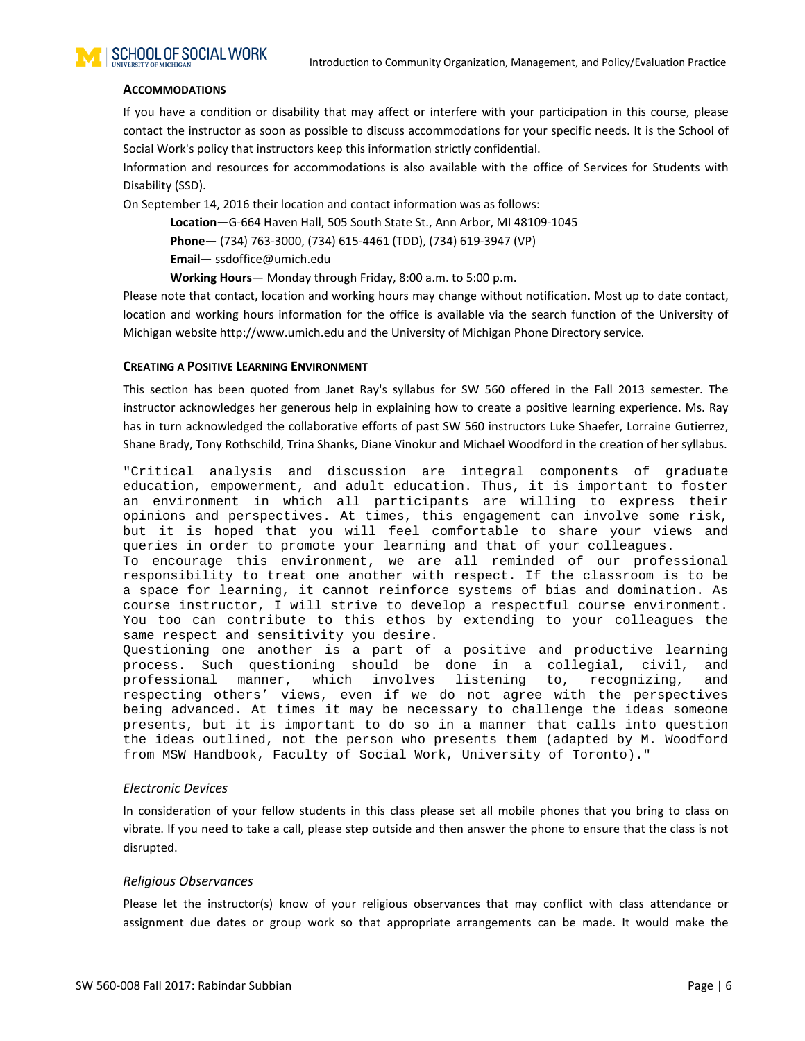### <span id="page-5-0"></span>**ACCOMMODATIONS**

If you have a condition or disability that may affect or interfere with your participation in this course, please contact the instructor as soon as possible to discuss accommodations for your specific needs. It is the School of Social Work's policy that instructors keep this information strictly confidential.

Information and resources for accommodations is also available with the office of Services for Students with Disability (SSD).

On September 14, 2016 their location and contact information was as follows:

**Location**—G-664 Haven Hall, 505 South State St., Ann Arbor, MI 48109-1045

**Phone**— (734) 763-3000, (734) 615-4461 (TDD), (734) 619-3947 (VP)

**Email**— ssdoffice@umich.edu

**Working Hours**— Monday through Friday, 8:00 a.m. to 5:00 p.m.

Please note that contact, location and working hours may change without notification. Most up to date contact, location and working hours information for the office is available via the search function of the University of Michigan website http://www.umich.edu and the University of Michigan Phone Directory service.

#### <span id="page-5-1"></span>**CREATING A POSITIVE LEARNING ENVIRONMENT**

This section has been quoted from Janet Ray's syllabus for SW 560 offered in the Fall 2013 semester. The instructor acknowledges her generous help in explaining how to create a positive learning experience. Ms. Ray has in turn acknowledged the collaborative efforts of past SW 560 instructors Luke Shaefer, Lorraine Gutierrez, Shane Brady, Tony Rothschild, Trina Shanks, Diane Vinokur and Michael Woodford in the creation of her syllabus.

"Critical analysis and discussion are integral components of graduate education, empowerment, and adult education. Thus, it is important to foster an environment in which all participants are willing to express their opinions and perspectives. At times, this engagement can involve some risk, but it is hoped that you will feel comfortable to share your views and queries in order to promote your learning and that of your colleagues.

To encourage this environment, we are all reminded of our professional responsibility to treat one another with respect. If the classroom is to be a space for learning, it cannot reinforce systems of bias and domination. As course instructor, I will strive to develop a respectful course environment. You too can contribute to this ethos by extending to your colleagues the same respect and sensitivity you desire.

Questioning one another is a part of a positive and productive learning<br>process. Such questioning should be done in a collegial, civil, and process. Such questioning should be done in a collegial, civil, and recognizing, respecting others' views, even if we do not agree with the perspectives being advanced. At times it may be necessary to challenge the ideas someone presents, but it is important to do so in a manner that calls into question the ideas outlined, not the person who presents them (adapted by M. Woodford from MSW Handbook, Faculty of Social Work, University of Toronto)."

### *Electronic Devices*

In consideration of your fellow students in this class please set all mobile phones that you bring to class on vibrate. If you need to take a call, please step outside and then answer the phone to ensure that the class is not disrupted.

### *Religious Observances*

Please let the instructor(s) know of your religious observances that may conflict with class attendance or assignment due dates or group work so that appropriate arrangements can be made. It would make the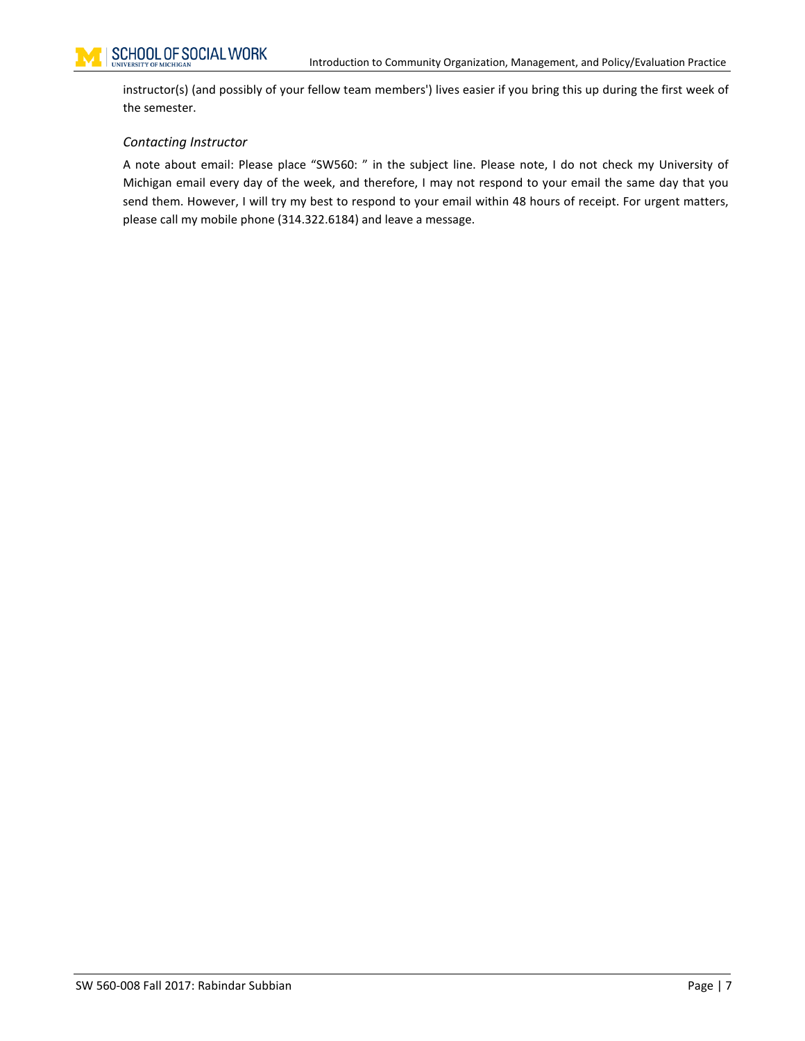instructor(s) (and possibly of your fellow team members') lives easier if you bring this up during the first week of the semester.

### *Contacting Instructor*

A note about email: Please place "SW560: " in the subject line. Please note, I do not check my University of Michigan email every day of the week, and therefore, I may not respond to your email the same day that you send them. However, I will try my best to respond to your email within 48 hours of receipt. For urgent matters, please call my mobile phone (314.322.6184) and leave a message.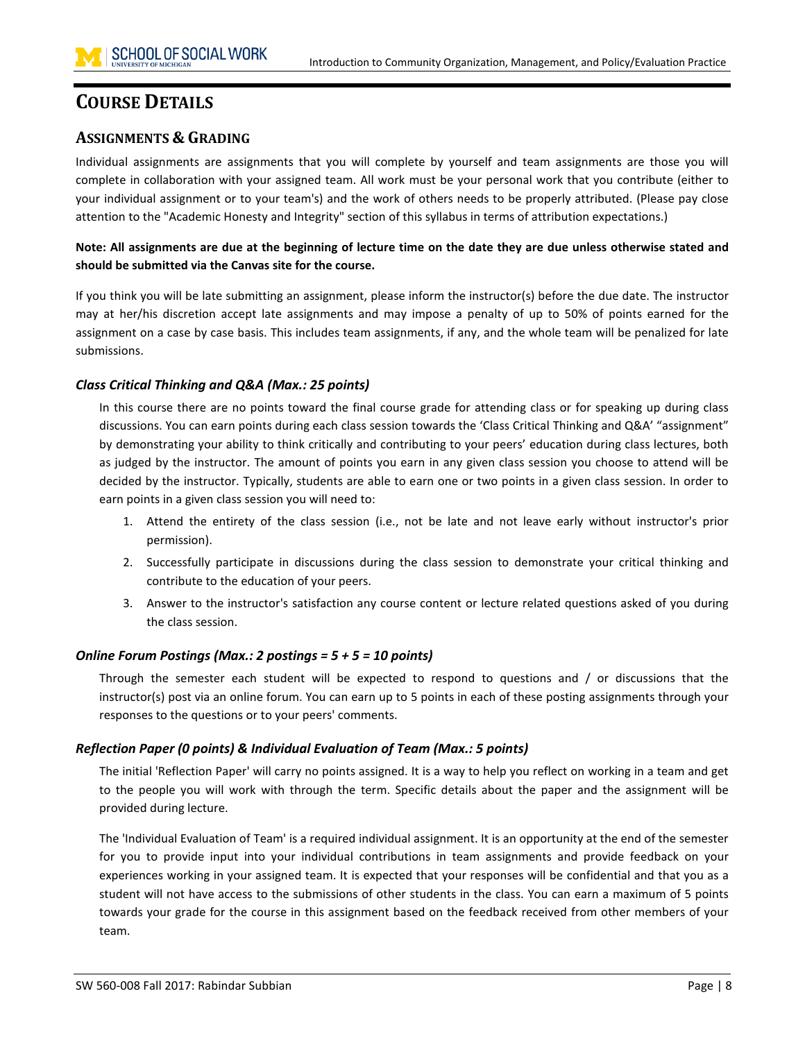# <span id="page-7-0"></span>**COURSE DETAILS**

# <span id="page-7-1"></span>**ASSIGNMENTS & GRADING**

Individual assignments are assignments that you will complete by yourself and team assignments are those you will complete in collaboration with your assigned team. All work must be your personal work that you contribute (either to your individual assignment or to your team's) and the work of others needs to be properly attributed. (Please pay close attention to the "Academic Honesty and Integrity" section of this syllabus in terms of attribution expectations.)

**Note: All assignments are due at the beginning of lecture time on the date they are due unless otherwise stated and should be submitted via the Canvas site for the course.**

If you think you will be late submitting an assignment, please inform the instructor(s) before the due date. The instructor may at her/his discretion accept late assignments and may impose a penalty of up to 50% of points earned for the assignment on a case by case basis. This includes team assignments, if any, and the whole team will be penalized for late submissions.

# *Class Critical Thinking and Q&A (Max.: 25 points)*

In this course there are no points toward the final course grade for attending class or for speaking up during class discussions. You can earn points during each class session towards the 'Class Critical Thinking and Q&A' "assignment" by demonstrating your ability to think critically and contributing to your peers' education during class lectures, both as judged by the instructor. The amount of points you earn in any given class session you choose to attend will be decided by the instructor. Typically, students are able to earn one or two points in a given class session. In order to earn points in a given class session you will need to:

- 1. Attend the entirety of the class session (i.e., not be late and not leave early without instructor's prior permission).
- 2. Successfully participate in discussions during the class session to demonstrate your critical thinking and contribute to the education of your peers.
- 3. Answer to the instructor's satisfaction any course content or lecture related questions asked of you during the class session.

# *Online Forum Postings (Max.: 2 postings = 5 + 5 = 10 points)*

Through the semester each student will be expected to respond to questions and / or discussions that the instructor(s) post via an online forum. You can earn up to 5 points in each of these posting assignments through your responses to the questions or to your peers' comments.

# *Reflection Paper (0 points) & Individual Evaluation of Team (Max.: 5 points)*

The initial 'Reflection Paper' will carry no points assigned. It is a way to help you reflect on working in a team and get to the people you will work with through the term. Specific details about the paper and the assignment will be provided during lecture.

The 'Individual Evaluation of Team' is a required individual assignment. It is an opportunity at the end of the semester for you to provide input into your individual contributions in team assignments and provide feedback on your experiences working in your assigned team. It is expected that your responses will be confidential and that you as a student will not have access to the submissions of other students in the class. You can earn a maximum of 5 points towards your grade for the course in this assignment based on the feedback received from other members of your team.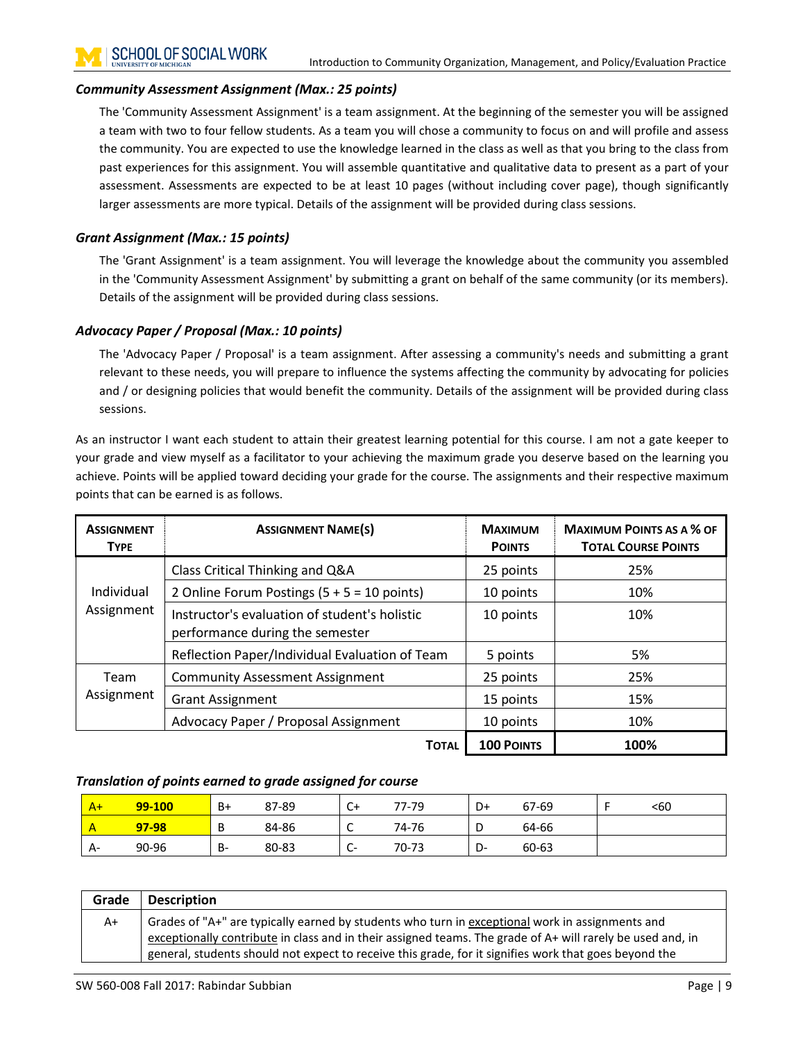### *Community Assessment Assignment (Max.: 25 points)*

The 'Community Assessment Assignment' is a team assignment. At the beginning of the semester you will be assigned a team with two to four fellow students. As a team you will chose a community to focus on and will profile and assess the community. You are expected to use the knowledge learned in the class as well as that you bring to the class from past experiences for this assignment. You will assemble quantitative and qualitative data to present as a part of your assessment. Assessments are expected to be at least 10 pages (without including cover page), though significantly larger assessments are more typical. Details of the assignment will be provided during class sessions.

## *Grant Assignment (Max.: 15 points)*

The 'Grant Assignment' is a team assignment. You will leverage the knowledge about the community you assembled in the 'Community Assessment Assignment' by submitting a grant on behalf of the same community (or its members). Details of the assignment will be provided during class sessions.

### *Advocacy Paper / Proposal (Max.: 10 points)*

The 'Advocacy Paper / Proposal' is a team assignment. After assessing a community's needs and submitting a grant relevant to these needs, you will prepare to influence the systems affecting the community by advocating for policies and / or designing policies that would benefit the community. Details of the assignment will be provided during class sessions.

As an instructor I want each student to attain their greatest learning potential for this course. I am not a gate keeper to your grade and view myself as a facilitator to your achieving the maximum grade you deserve based on the learning you achieve. Points will be applied toward deciding your grade for the course. The assignments and their respective maximum points that can be earned is as follows.

| <b>ASSIGNMENT</b><br><b>TYPE</b> | <b>ASSIGNMENT NAME(S)</b>                                                        | <b>MAXIMUM</b><br><b>POINTS</b> | <b>MAXIMUM POINTS AS A % OF</b><br><b>TOTAL COURSE POINTS</b> |
|----------------------------------|----------------------------------------------------------------------------------|---------------------------------|---------------------------------------------------------------|
|                                  | Class Critical Thinking and Q&A                                                  | 25 points                       | 25%                                                           |
| Individual                       | 2 Online Forum Postings $(5 + 5 = 10 \text{ points})$                            | 10 points                       | 10%                                                           |
| Assignment                       | Instructor's evaluation of student's holistic<br>performance during the semester | 10 points                       | 10%                                                           |
|                                  | Reflection Paper/Individual Evaluation of Team                                   | 5 points                        | 5%                                                            |
| Team                             | <b>Community Assessment Assignment</b>                                           | 25 points                       | 25%                                                           |
| Assignment                       | <b>Grant Assignment</b>                                                          | 15 points                       | 15%                                                           |
|                                  | Advocacy Paper / Proposal Assignment                                             | 10 points                       | 10%                                                           |
|                                  | <b>TOTAL</b>                                                                     | <b>100 POINTS</b>               | 100%                                                          |

### *Translation of points earned to grade assigned for course*

| $A+$ | 99-100 | B+ | 87-89 | C+                   | 77-79 | D+       | 67-69 | <60 |
|------|--------|----|-------|----------------------|-------|----------|-------|-----|
|      | 97-98  | D  | 84-86 | -<br>∼               | 74-76 | ◡        | 64-66 |     |
| A-   | 90-96  | B- | 80-83 | ∽<br>. <b>.</b><br>ັ | 70-73 | n<br>− ש | 60-63 |     |

| Grade | <b>Description</b>                                                                                         |
|-------|------------------------------------------------------------------------------------------------------------|
| A+    | Grades of "A+" are typically earned by students who turn in exceptional work in assignments and            |
|       | exceptionally contribute in class and in their assigned teams. The grade of A+ will rarely be used and, in |
|       | general, students should not expect to receive this grade, for it signifies work that goes beyond the      |
|       |                                                                                                            |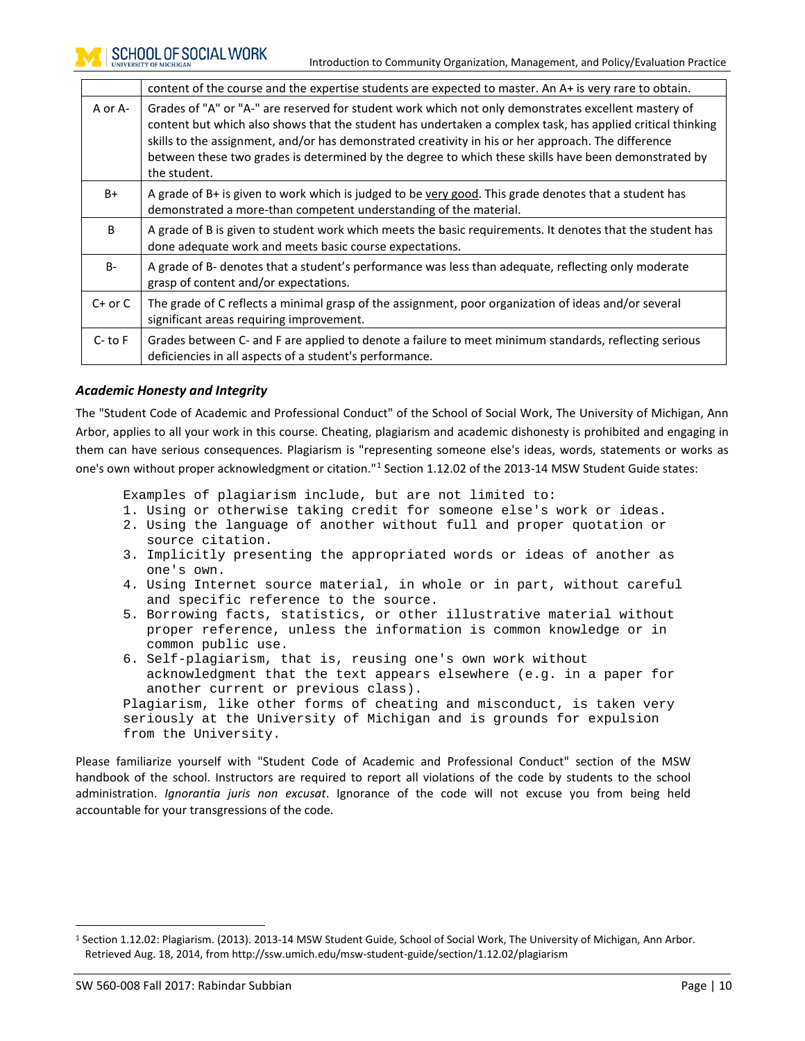|             | content of the course and the expertise students are expected to master. An A+ is very rare to obtain.                                                                                                                                                                                                                                                                                                                                            |  |  |  |  |  |
|-------------|---------------------------------------------------------------------------------------------------------------------------------------------------------------------------------------------------------------------------------------------------------------------------------------------------------------------------------------------------------------------------------------------------------------------------------------------------|--|--|--|--|--|
| A or A-     | Grades of "A" or "A-" are reserved for student work which not only demonstrates excellent mastery of<br>content but which also shows that the student has undertaken a complex task, has applied critical thinking<br>skills to the assignment, and/or has demonstrated creativity in his or her approach. The difference<br>between these two grades is determined by the degree to which these skills have been demonstrated by<br>the student. |  |  |  |  |  |
| B+          | A grade of B+ is given to work which is judged to be very good. This grade denotes that a student has<br>demonstrated a more-than competent understanding of the material.                                                                                                                                                                                                                                                                        |  |  |  |  |  |
| B           | A grade of B is given to student work which meets the basic requirements. It denotes that the student has<br>done adequate work and meets basic course expectations.                                                                                                                                                                                                                                                                              |  |  |  |  |  |
| <b>B-</b>   | A grade of B- denotes that a student's performance was less than adequate, reflecting only moderate<br>grasp of content and/or expectations.                                                                                                                                                                                                                                                                                                      |  |  |  |  |  |
| $C+$ or $C$ | The grade of C reflects a minimal grasp of the assignment, poor organization of ideas and/or several<br>significant areas requiring improvement.                                                                                                                                                                                                                                                                                                  |  |  |  |  |  |
| $C-$ to $F$ | Grades between C- and F are applied to denote a failure to meet minimum standards, reflecting serious<br>deficiencies in all aspects of a student's performance.                                                                                                                                                                                                                                                                                  |  |  |  |  |  |

### *Academic Honesty and Integrity*

The "Student Code of Academic and Professional Conduct" of the School of Social Work, The University of Michigan, Ann Arbor, applies to all your work in this course. Cheating, plagiarism and academic dishonesty is prohibited and engaging in them can have serious consequences. Plagiarism is "representing someone else's ideas, words, statements or works as one's own without proper acknowledgment or citation."[1](#page-9-0) Section 1.12.02 of the 2013-14 MSW Student Guide states:

Examples of plagiarism include, but are not limited to:

- 1. Using or otherwise taking credit for someone else's work or ideas.
- 2. Using the language of another without full and proper quotation or source citation.
- 3. Implicitly presenting the appropriated words or ideas of another as one's own.
- 4. Using Internet source material, in whole or in part, without careful and specific reference to the source.
- 5. Borrowing facts, statistics, or other illustrative material without proper reference, unless the information is common knowledge or in common public use.
- 6. Self-plagiarism, that is, reusing one's own work without acknowledgment that the text appears elsewhere (e.g. in a paper for another current or previous class). Plagiarism, like other forms of cheating and misconduct, is taken very

seriously at the University of Michigan and is grounds for expulsion from the University.

Please familiarize yourself with "Student Code of Academic and Professional Conduct" section of the MSW handbook of the school. Instructors are required to report all violations of the code by students to the school administration. *Ignorantia juris non excusat*. Ignorance of the code will not excuse you from being held accountable for your transgressions of the code.

<span id="page-9-0"></span> <sup>1</sup> Section 1.12.02: Plagiarism. (2013). 2013-14 MSW Student Guide, School of Social Work, The University of Michigan, Ann Arbor. Retrieved Aug. 18, 2014, from http://ssw.umich.edu/msw-student-guide/section/1.12.02/plagiarism